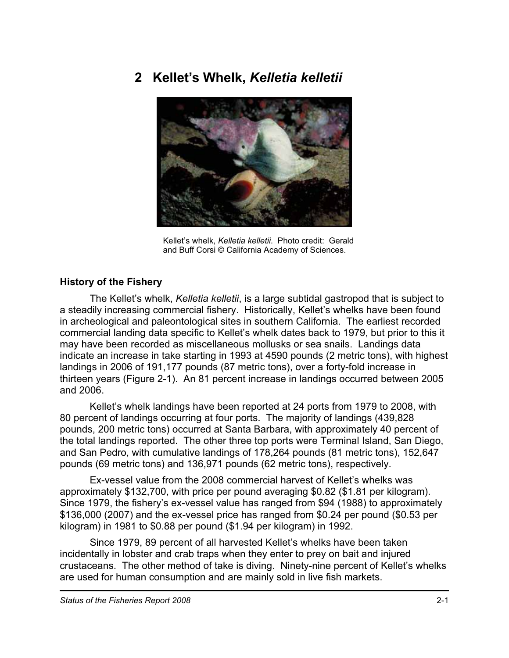# **2 Kellet's Whelk,** *Kelletia kelletii*



Kellet's whelk, *Kelletia kelletii*. Photo credit: Gerald and Buff Corsi © California Academy of Sciences.

#### **History of the Fishery**

The Kellet's whelk, *Kelletia kelletii*, is a large subtidal gastropod that is subject to a steadily increasing commercial fishery. Historically, Kellet's whelks have been found in archeological and paleontological sites in southern California. The earliest recorded commercial landing data specific to Kellet's whelk dates back to 1979, but prior to this it may have been recorded as miscellaneous mollusks or sea snails. Landings data indicate an increase in take starting in 1993 at 4590 pounds (2 metric tons), with highest landings in 2006 of 191,177 pounds (87 metric tons), over a forty-fold increase in thirteen years (Figure 2-1). An 81 percent increase in landings occurred between 2005 and 2006.

Kellet's whelk landings have been reported at 24 ports from 1979 to 2008, with 80 percent of landings occurring at four ports. The majority of landings (439,828 pounds, 200 metric tons) occurred at Santa Barbara, with approximately 40 percent of the total landings reported. The other three top ports were Terminal Island, San Diego, and San Pedro, with cumulative landings of 178,264 pounds (81 metric tons), 152,647 pounds (69 metric tons) and 136,971 pounds (62 metric tons), respectively.

Ex-vessel value from the 2008 commercial harvest of Kellet's whelks was approximately \$132,700, with price per pound averaging \$0.82 (\$1.81 per kilogram). Since 1979, the fishery's ex-vessel value has ranged from \$94 (1988) to approximately \$136,000 (2007) and the ex-vessel price has ranged from \$0.24 per pound (\$0.53 per kilogram) in 1981 to \$0.88 per pound (\$1.94 per kilogram) in 1992.

Since 1979, 89 percent of all harvested Kellet's whelks have been taken incidentally in lobster and crab traps when they enter to prey on bait and injured crustaceans. The other method of take is diving. Ninety-nine percent of Kellet's whelks are used for human consumption and are mainly sold in live fish markets.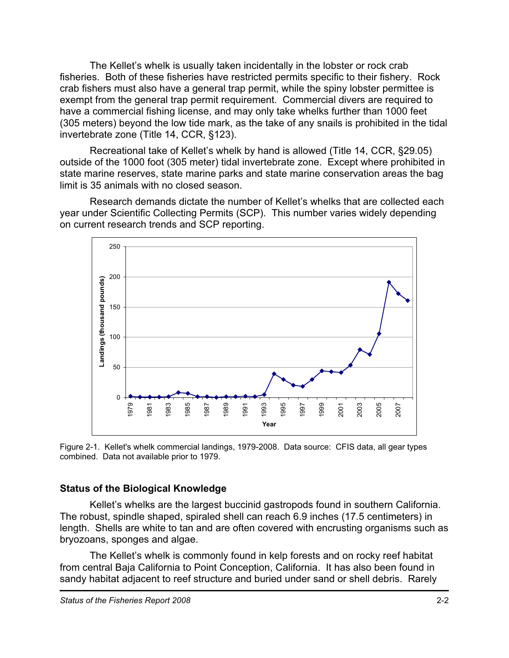The Kellet's whelk is usually taken incidentally in the lobster or rock crab fisheries. Both of these fisheries have restricted permits specific to their fishery. Rock crab fishers must also have a general trap permit, while the spiny lobster permittee is exempt from the general trap permit requirement. Commercial divers are required to have a commercial fishing license, and may only take whelks further than 1000 feet (305 meters) beyond the low tide mark, as the take of any snails is prohibited in the tidal invertebrate zone (Title 14, CCR, §123).

Recreational take of Kellet's whelk by hand is allowed (Title 14, CCR, §29.05) outside of the 1000 foot (305 meter) tidal invertebrate zone. Except where prohibited in state marine reserves, state marine parks and state marine conservation areas the bag limit is 35 animals with no closed season.

Research demands dictate the number of Kellet's whelks that are collected each year under Scientific Collecting Permits (SCP). This number varies widely depending on current research trends and SCP reporting.



Figure 2-1. Kellet's whelk commercial landings, 1979-2008. Data source: CFIS data, all gear types combined. Data not available prior to 1979.

#### **Status of the Biological Knowledge**

Kellet's whelks are the largest buccinid gastropods found in southern California. The robust, spindle shaped, spiraled shell can reach 6.9 inches (17.5 centimeters) in length. Shells are white to tan and are often covered with encrusting organisms such as bryozoans, sponges and algae.

The Kellet's whelk is commonly found in kelp forests and on rocky reef habitat from central Baja California to Point Conception, California. It has also been found in sandy habitat adjacent to reef structure and buried under sand or shell debris. Rarely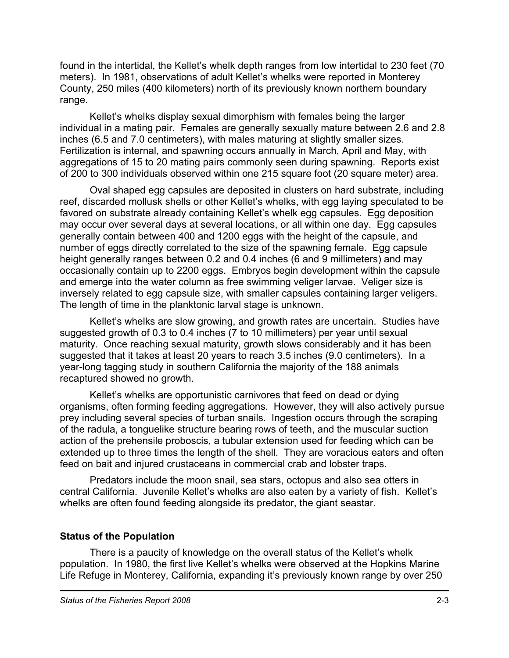found in the intertidal, the Kellet's whelk depth ranges from low intertidal to 230 feet (70 meters). In 1981, observations of adult Kellet's whelks were reported in Monterey County, 250 miles (400 kilometers) north of its previously known northern boundary range.

Kellet's whelks display sexual dimorphism with females being the larger individual in a mating pair. Females are generally sexually mature between 2.6 and 2.8 inches (6.5 and 7.0 centimeters), with males maturing at slightly smaller sizes. Fertilization is internal, and spawning occurs annually in March, April and May, with aggregations of 15 to 20 mating pairs commonly seen during spawning. Reports exist of 200 to 300 individuals observed within one 215 square foot (20 square meter) area.

Oval shaped egg capsules are deposited in clusters on hard substrate, including reef, discarded mollusk shells or other Kellet's whelks, with egg laying speculated to be favored on substrate already containing Kellet's whelk egg capsules. Egg deposition may occur over several days at several locations, or all within one day. Egg capsules generally contain between 400 and 1200 eggs with the height of the capsule, and number of eggs directly correlated to the size of the spawning female. Egg capsule height generally ranges between 0.2 and 0.4 inches (6 and 9 millimeters) and may occasionally contain up to 2200 eggs. Embryos begin development within the capsule and emerge into the water column as free swimming veliger larvae. Veliger size is inversely related to egg capsule size, with smaller capsules containing larger veligers. The length of time in the planktonic larval stage is unknown.

Kellet's whelks are slow growing, and growth rates are uncertain. Studies have suggested growth of 0.3 to 0.4 inches (7 to 10 millimeters) per year until sexual maturity. Once reaching sexual maturity, growth slows considerably and it has been suggested that it takes at least 20 years to reach 3.5 inches (9.0 centimeters). In a year-long tagging study in southern California the majority of the 188 animals recaptured showed no growth.

Kellet's whelks are opportunistic carnivores that feed on dead or dying organisms, often forming feeding aggregations. However, they will also actively pursue prey including several species of turban snails. Ingestion occurs through the scraping of the radula, a tonguelike structure bearing rows of teeth, and the muscular suction action of the prehensile proboscis, a tubular extension used for feeding which can be extended up to three times the length of the shell. They are voracious eaters and often feed on bait and injured crustaceans in commercial crab and lobster traps.

Predators include the moon snail, sea stars, octopus and also sea otters in central California. Juvenile Kellet's whelks are also eaten by a variety of fish. Kellet's whelks are often found feeding alongside its predator, the giant seastar.

## **Status of the Population**

There is a paucity of knowledge on the overall status of the Kellet's whelk population. In 1980, the first live Kellet's whelks were observed at the Hopkins Marine Life Refuge in Monterey, California, expanding it's previously known range by over 250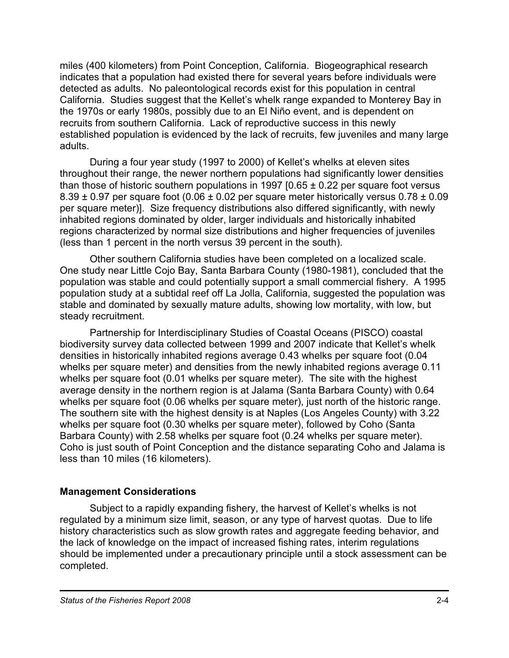miles (400 kilometers) from Point Conception, California. Biogeographical research indicates that a population had existed there for several years before individuals were detected as adults. No paleontological records exist for this population in central California. Studies suggest that the Kellet's whelk range expanded to Monterey Bay in the 1970s or early 1980s, possibly due to an El Niño event, and is dependent on recruits from southern California. Lack of reproductive success in this newly established population is evidenced by the lack of recruits, few juveniles and many large adults.

During a four year study (1997 to 2000) of Kellet's whelks at eleven sites throughout their range, the newer northern populations had significantly lower densities than those of historic southern populations in 1997  $[0.65 \pm 0.22$  per square foot versus  $8.39 \pm 0.97$  per square foot (0.06  $\pm$  0.02 per square meter historically versus 0.78  $\pm$  0.09 per square meter)]. Size frequency distributions also differed significantly, with newly inhabited regions dominated by older, larger individuals and historically inhabited regions characterized by normal size distributions and higher frequencies of juveniles (less than 1 percent in the north versus 39 percent in the south).

Other southern California studies have been completed on a localized scale. One study near Little Cojo Bay, Santa Barbara County (1980-1981), concluded that the population was stable and could potentially support a small commercial fishery. A 1995 population study at a subtidal reef off La Jolla, California, suggested the population was stable and dominated by sexually mature adults, showing low mortality, with low, but steady recruitment.

Partnership for Interdisciplinary Studies of Coastal Oceans (PISCO) coastal biodiversity survey data collected between 1999 and 2007 indicate that Kellet's whelk densities in historically inhabited regions average 0.43 whelks per square foot (0.04 whelks per square meter) and densities from the newly inhabited regions average 0.11 whelks per square foot (0.01 whelks per square meter). The site with the highest average density in the northern region is at Jalama (Santa Barbara County) with 0.64 whelks per square foot (0.06 whelks per square meter), just north of the historic range. The southern site with the highest density is at Naples (Los Angeles County) with 3.22 whelks per square foot (0.30 whelks per square meter), followed by Coho (Santa Barbara County) with 2.58 whelks per square foot (0.24 whelks per square meter). Coho is just south of Point Conception and the distance separating Coho and Jalama is less than 10 miles (16 kilometers).

#### **Management Considerations**

Subject to a rapidly expanding fishery, the harvest of Kellet's whelks is not regulated by a minimum size limit, season, or any type of harvest quotas. Due to life history characteristics such as slow growth rates and aggregate feeding behavior, and the lack of knowledge on the impact of increased fishing rates, interim regulations should be implemented under a precautionary principle until a stock assessment can be completed.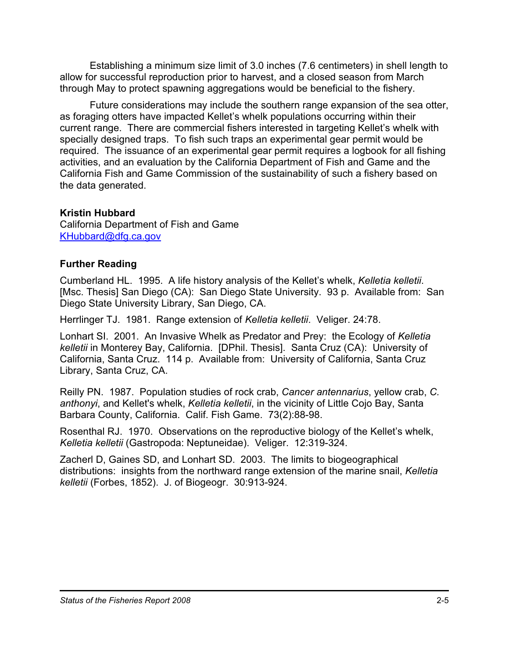Establishing a minimum size limit of 3.0 inches (7.6 centimeters) in shell length to allow for successful reproduction prior to harvest, and a closed season from March through May to protect spawning aggregations would be beneficial to the fishery.

Future considerations may include the southern range expansion of the sea otter, as foraging otters have impacted Kellet's whelk populations occurring within their current range. There are commercial fishers interested in targeting Kellet's whelk with specially designed traps. To fish such traps an experimental gear permit would be required. The issuance of an experimental gear permit requires a logbook for all fishing activities, and an evaluation by the California Department of Fish and Game and the California Fish and Game Commission of the sustainability of such a fishery based on the data generated.

## **Kristin Hubbard**

California Department of Fish and Game KHubbard@dfg.ca.gov

## **Further Reading**

Cumberland HL. 1995. A life history analysis of the Kellet's whelk, *Kelletia kelletii*. [Msc. Thesis] San Diego (CA): San Diego State University. 93 p. Available from: San Diego State University Library, San Diego, CA.

Herrlinger TJ. 1981. Range extension of *Kelletia kelletii*. Veliger. 24:78.

Lonhart SI. 2001. An Invasive Whelk as Predator and Prey: the Ecology of *Kelletia kelletii* in Monterey Bay, California. [DPhil. Thesis]. Santa Cruz (CA): University of California, Santa Cruz. 114 p. Available from: University of California, Santa Cruz Library, Santa Cruz, CA.

Reilly PN. 1987. Population studies of rock crab, *Cancer antennarius*, yellow crab, *C. anthonyi*, and Kellet's whelk, *Kelletia kelletii*, in the vicinity of Little Cojo Bay, Santa Barbara County, California. Calif. Fish Game. 73(2):88-98.

Rosenthal RJ. 1970. Observations on the reproductive biology of the Kellet's whelk, *Kelletia kelletii* (Gastropoda: Neptuneidae). Veliger. 12:319-324.

Zacherl D, Gaines SD, and Lonhart SD. 2003. The limits to biogeographical distributions: insights from the northward range extension of the marine snail, *Kelletia kelletii* (Forbes, 1852). J. of Biogeogr. 30:913-924.